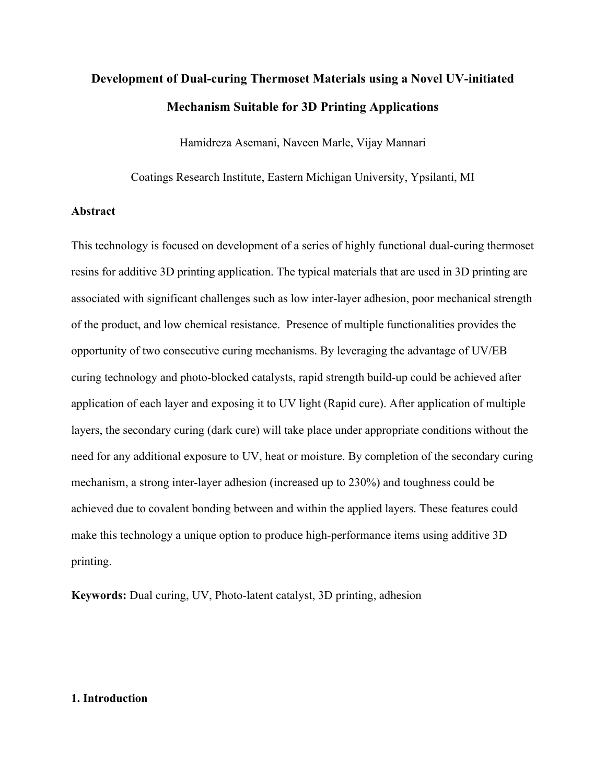# **Development of Dual-curing Thermoset Materials using a Novel UV-initiated Mechanism Suitable for 3D Printing Applications**

Hamidreza Asemani, Naveen Marle, Vijay Mannari

Coatings Research Institute, Eastern Michigan University, Ypsilanti, MI

#### **Abstract**

This technology is focused on development of a series of highly functional dual-curing thermoset resins for additive 3D printing application. The typical materials that are used in 3D printing are associated with significant challenges such as low inter-layer adhesion, poor mechanical strength of the product, and low chemical resistance. Presence of multiple functionalities provides the opportunity of two consecutive curing mechanisms. By leveraging the advantage of UV/EB curing technology and photo-blocked catalysts, rapid strength build-up could be achieved after application of each layer and exposing it to UV light (Rapid cure). After application of multiple layers, the secondary curing (dark cure) will take place under appropriate conditions without the need for any additional exposure to UV, heat or moisture. By completion of the secondary curing mechanism, a strong inter-layer adhesion (increased up to 230%) and toughness could be achieved due to covalent bonding between and within the applied layers. These features could make this technology a unique option to produce high-performance items using additive 3D printing.

**Keywords:** Dual curing, UV, Photo-latent catalyst, 3D printing, adhesion

#### **1. Introduction**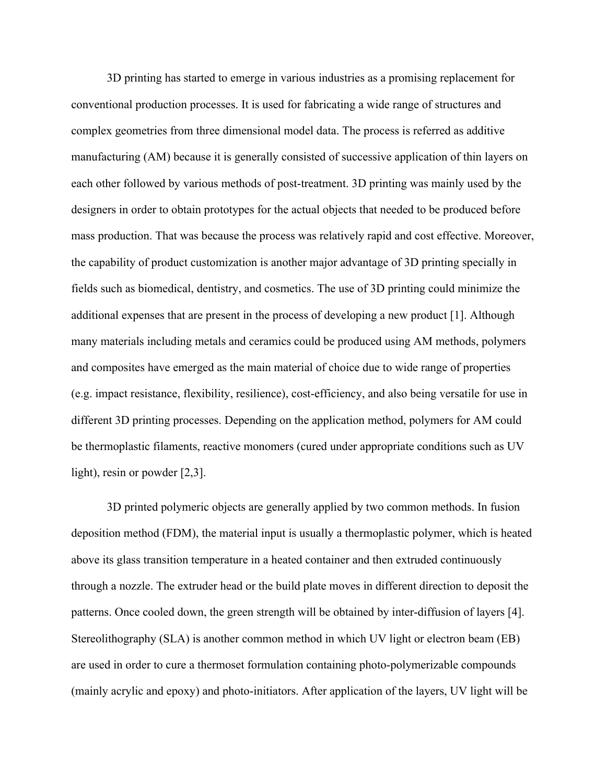3D printing has started to emerge in various industries as a promising replacement for conventional production processes. It is used for fabricating a wide range of structures and complex geometries from three dimensional model data. The process is referred as additive manufacturing (AM) because it is generally consisted of successive application of thin layers on each other followed by various methods of post-treatment. 3D printing was mainly used by the designers in order to obtain prototypes for the actual objects that needed to be produced before mass production. That was because the process was relatively rapid and cost effective. Moreover, the capability of product customization is another major advantage of 3D printing specially in fields such as biomedical, dentistry, and cosmetics. The use of 3D printing could minimize the additional expenses that are present in the process of developing a new product [1]. Although many materials including metals and ceramics could be produced using AM methods, polymers and composites have emerged as the main material of choice due to wide range of properties (e.g. impact resistance, flexibility, resilience), cost-efficiency, and also being versatile for use in different 3D printing processes. Depending on the application method, polymers for AM could be thermoplastic filaments, reactive monomers (cured under appropriate conditions such as UV light), resin or powder [2,3].

3D printed polymeric objects are generally applied by two common methods. In fusion deposition method (FDM), the material input is usually a thermoplastic polymer, which is heated above its glass transition temperature in a heated container and then extruded continuously through a nozzle. The extruder head or the build plate moves in different direction to deposit the patterns. Once cooled down, the green strength will be obtained by inter-diffusion of layers [4]. Stereolithography (SLA) is another common method in which UV light or electron beam (EB) are used in order to cure a thermoset formulation containing photo-polymerizable compounds (mainly acrylic and epoxy) and photo-initiators. After application of the layers, UV light will be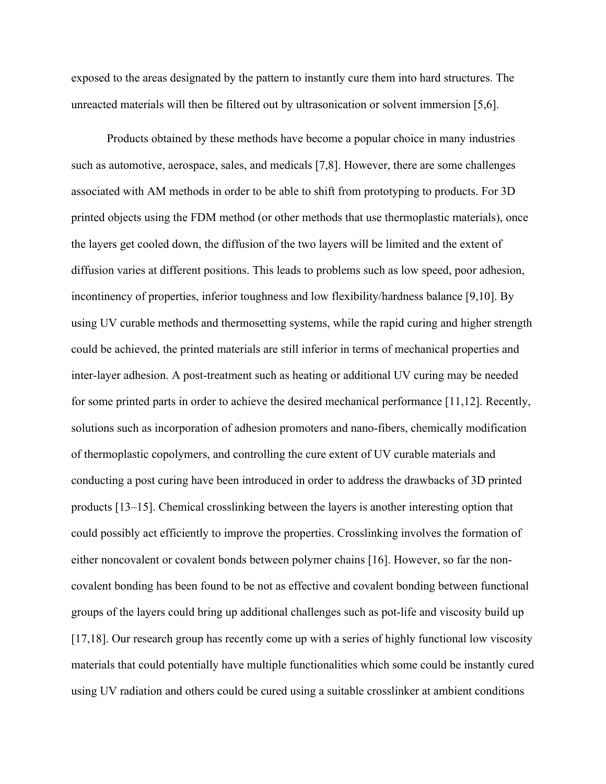exposed to the areas designated by the pattern to instantly cure them into hard structures. The unreacted materials will then be filtered out by ultrasonication or solvent immersion [5,6].

Products obtained by these methods have become a popular choice in many industries such as automotive, aerospace, sales, and medicals [7,8]. However, there are some challenges associated with AM methods in order to be able to shift from prototyping to products. For 3D printed objects using the FDM method (or other methods that use thermoplastic materials), once the layers get cooled down, the diffusion of the two layers will be limited and the extent of diffusion varies at different positions. This leads to problems such as low speed, poor adhesion, incontinency of properties, inferior toughness and low flexibility/hardness balance [9,10]. By using UV curable methods and thermosetting systems, while the rapid curing and higher strength could be achieved, the printed materials are still inferior in terms of mechanical properties and inter-layer adhesion. A post-treatment such as heating or additional UV curing may be needed for some printed parts in order to achieve the desired mechanical performance [11,12]. Recently, solutions such as incorporation of adhesion promoters and nano-fibers, chemically modification of thermoplastic copolymers, and controlling the cure extent of UV curable materials and conducting a post curing have been introduced in order to address the drawbacks of 3D printed products [13–15]. Chemical crosslinking between the layers is another interesting option that could possibly act efficiently to improve the properties. Crosslinking involves the formation of either noncovalent or covalent bonds between polymer chains [16]. However, so far the noncovalent bonding has been found to be not as effective and covalent bonding between functional groups of the layers could bring up additional challenges such as pot-life and viscosity build up [17,18]. Our research group has recently come up with a series of highly functional low viscosity materials that could potentially have multiple functionalities which some could be instantly cured using UV radiation and others could be cured using a suitable crosslinker at ambient conditions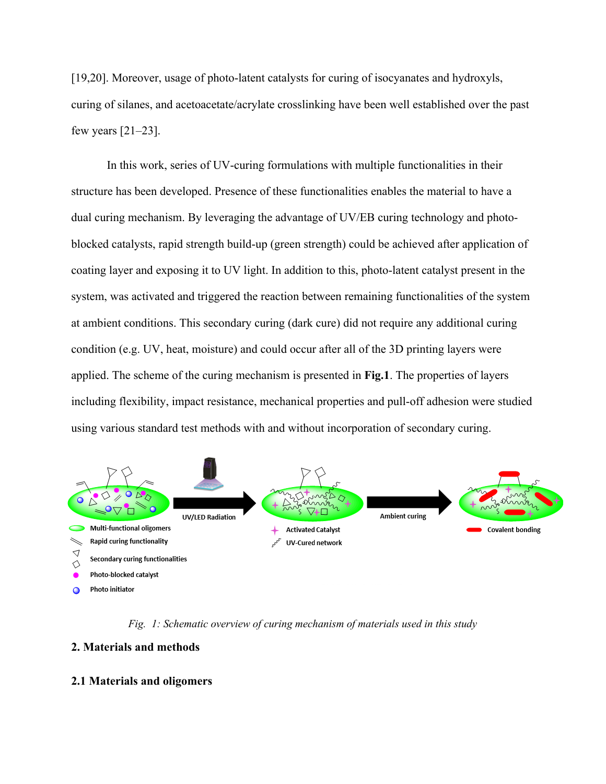[19,20]. Moreover, usage of photo-latent catalysts for curing of isocyanates and hydroxyls, curing of silanes, and acetoacetate/acrylate crosslinking have been well established over the past few years  $[21-23]$ .

In this work, series of UV-curing formulations with multiple functionalities in their structure has been developed. Presence of these functionalities enables the material to have a dual curing mechanism. By leveraging the advantage of UV/EB curing technology and photoblocked catalysts, rapid strength build-up (green strength) could be achieved after application of coating layer and exposing it to UV light. In addition to this, photo-latent catalyst present in the system, was activated and triggered the reaction between remaining functionalities of the system at ambient conditions. This secondary curing (dark cure) did not require any additional curing condition (e.g. UV, heat, moisture) and could occur after all of the 3D printing layers were applied. The scheme of the curing mechanism is presented in **Fig.1**. The properties of layers including flexibility, impact resistance, mechanical properties and pull-off adhesion were studied using various standard test methods with and without incorporation of secondary curing.



*Fig. 1: Schematic overview of curing mechanism of materials used in this study*

## **2. Materials and methods**

## **2.1 Materials and oligomers**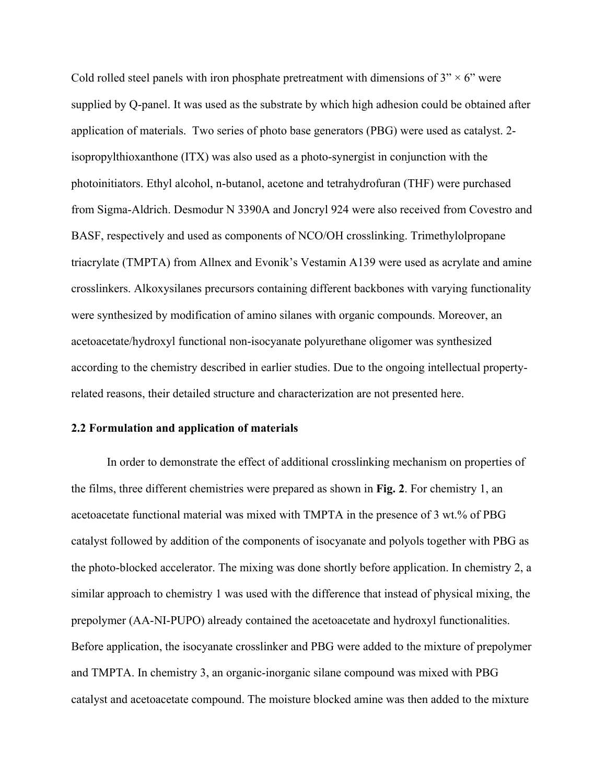Cold rolled steel panels with iron phosphate pretreatment with dimensions of  $3'' \times 6''$  were supplied by Q-panel. It was used as the substrate by which high adhesion could be obtained after application of materials. Two series of photo base generators (PBG) were used as catalyst. 2 isopropylthioxanthone (ITX) was also used as a photo-synergist in conjunction with the photoinitiators. Ethyl alcohol, n-butanol, acetone and tetrahydrofuran (THF) were purchased from Sigma-Aldrich. Desmodur N 3390A and Joncryl 924 were also received from Covestro and BASF, respectively and used as components of NCO/OH crosslinking. Trimethylolpropane triacrylate (TMPTA) from Allnex and Evonik's Vestamin A139 were used as acrylate and amine crosslinkers. Alkoxysilanes precursors containing different backbones with varying functionality were synthesized by modification of amino silanes with organic compounds. Moreover, an acetoacetate/hydroxyl functional non-isocyanate polyurethane oligomer was synthesized according to the chemistry described in earlier studies. Due to the ongoing intellectual propertyrelated reasons, their detailed structure and characterization are not presented here.

#### **2.2 Formulation and application of materials**

In order to demonstrate the effect of additional crosslinking mechanism on properties of the films, three different chemistries were prepared as shown in **Fig. 2**. For chemistry 1, an acetoacetate functional material was mixed with TMPTA in the presence of 3 wt.% of PBG catalyst followed by addition of the components of isocyanate and polyols together with PBG as the photo-blocked accelerator. The mixing was done shortly before application. In chemistry 2, a similar approach to chemistry 1 was used with the difference that instead of physical mixing, the prepolymer (AA-NI-PUPO) already contained the acetoacetate and hydroxyl functionalities. Before application, the isocyanate crosslinker and PBG were added to the mixture of prepolymer and TMPTA. In chemistry 3, an organic-inorganic silane compound was mixed with PBG catalyst and acetoacetate compound. The moisture blocked amine was then added to the mixture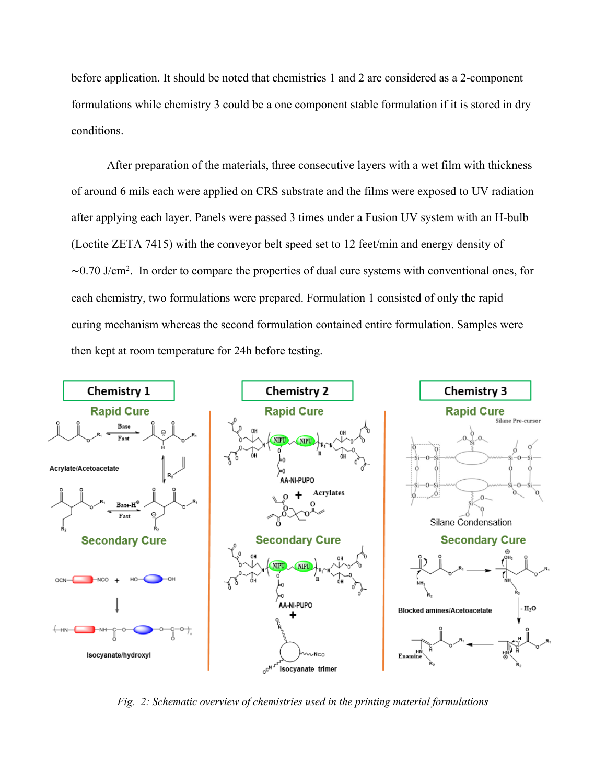before application. It should be noted that chemistries 1 and 2 are considered as a 2-component formulations while chemistry 3 could be a one component stable formulation if it is stored in dry conditions.

After preparation of the materials, three consecutive layers with a wet film with thickness of around 6 mils each were applied on CRS substrate and the films were exposed to UV radiation after applying each layer. Panels were passed 3 times under a Fusion UV system with an H-bulb (Loctite ZETA 7415) with the conveyor belt speed set to 12 feet/min and energy density of ∼0.70 J/cm2 . In order to compare the properties of dual cure systems with conventional ones, for each chemistry, two formulations were prepared. Formulation 1 consisted of only the rapid curing mechanism whereas the second formulation contained entire formulation. Samples were then kept at room temperature for 24h before testing.



*Fig. 2: Schematic overview of chemistries used in the printing material formulations*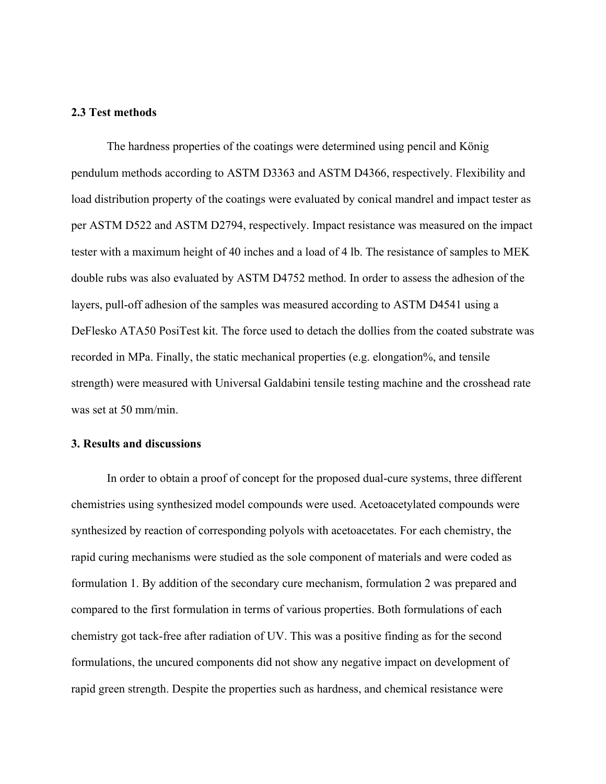#### **2.3 Test methods**

The hardness properties of the coatings were determined using pencil and König pendulum methods according to ASTM D3363 and ASTM D4366, respectively. Flexibility and load distribution property of the coatings were evaluated by conical mandrel and impact tester as per ASTM D522 and ASTM D2794, respectively. Impact resistance was measured on the impact tester with a maximum height of 40 inches and a load of 4 lb. The resistance of samples to MEK double rubs was also evaluated by ASTM D4752 method. In order to assess the adhesion of the layers, pull-off adhesion of the samples was measured according to ASTM D4541 using a DeFlesko ATA50 PosiTest kit. The force used to detach the dollies from the coated substrate was recorded in MPa. Finally, the static mechanical properties (e.g. elongation%, and tensile strength) were measured with Universal Galdabini tensile testing machine and the crosshead rate was set at 50 mm/min.

## **3. Results and discussions**

In order to obtain a proof of concept for the proposed dual-cure systems, three different chemistries using synthesized model compounds were used. Acetoacetylated compounds were synthesized by reaction of corresponding polyols with acetoacetates. For each chemistry, the rapid curing mechanisms were studied as the sole component of materials and were coded as formulation 1. By addition of the secondary cure mechanism, formulation 2 was prepared and compared to the first formulation in terms of various properties. Both formulations of each chemistry got tack-free after radiation of UV. This was a positive finding as for the second formulations, the uncured components did not show any negative impact on development of rapid green strength. Despite the properties such as hardness, and chemical resistance were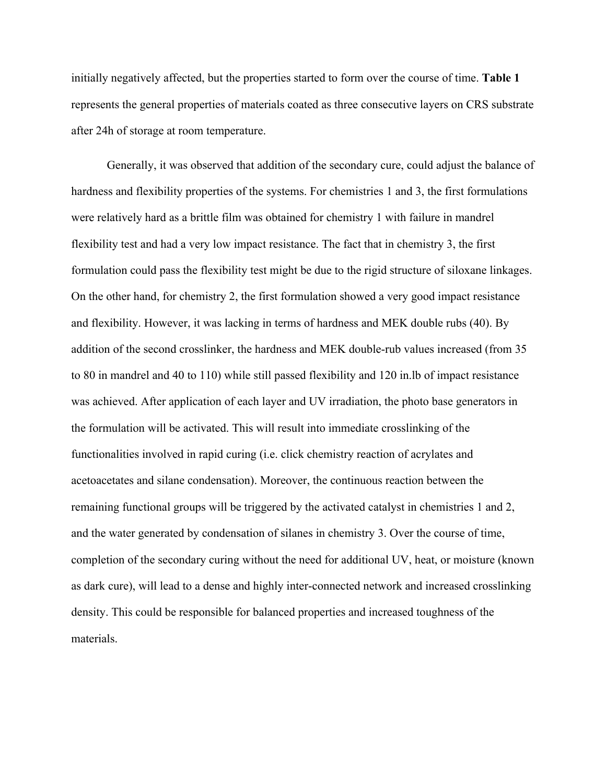initially negatively affected, but the properties started to form over the course of time. **Table 1** represents the general properties of materials coated as three consecutive layers on CRS substrate after 24h of storage at room temperature.

Generally, it was observed that addition of the secondary cure, could adjust the balance of hardness and flexibility properties of the systems. For chemistries 1 and 3, the first formulations were relatively hard as a brittle film was obtained for chemistry 1 with failure in mandrel flexibility test and had a very low impact resistance. The fact that in chemistry 3, the first formulation could pass the flexibility test might be due to the rigid structure of siloxane linkages. On the other hand, for chemistry 2, the first formulation showed a very good impact resistance and flexibility. However, it was lacking in terms of hardness and MEK double rubs (40). By addition of the second crosslinker, the hardness and MEK double-rub values increased (from 35 to 80 in mandrel and 40 to 110) while still passed flexibility and 120 in.lb of impact resistance was achieved. After application of each layer and UV irradiation, the photo base generators in the formulation will be activated. This will result into immediate crosslinking of the functionalities involved in rapid curing (i.e. click chemistry reaction of acrylates and acetoacetates and silane condensation). Moreover, the continuous reaction between the remaining functional groups will be triggered by the activated catalyst in chemistries 1 and 2, and the water generated by condensation of silanes in chemistry 3. Over the course of time, completion of the secondary curing without the need for additional UV, heat, or moisture (known as dark cure), will lead to a dense and highly inter-connected network and increased crosslinking density. This could be responsible for balanced properties and increased toughness of the materials.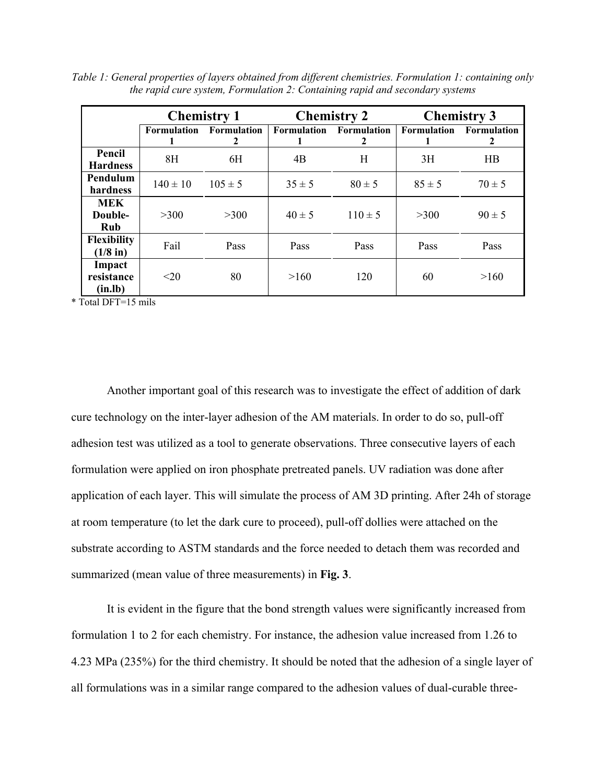|                                     | <b>Chemistry 1</b> |                              | <b>Chemistry 2</b> |                         | <b>Chemistry 3</b>             |            |
|-------------------------------------|--------------------|------------------------------|--------------------|-------------------------|--------------------------------|------------|
|                                     |                    | Formulation Formulation<br>2 | Formulation        | <b>Formulation</b><br>2 | <b>Formulation</b> Formulation | 2          |
| Pencil<br><b>Hardness</b>           | 8H                 | 6H                           | 4B                 | Η                       | 3H                             | HB         |
| Pendulum<br>hardness                | $140 \pm 10$       | $105 \pm 5$                  | $35 \pm 5$         | $80 \pm 5$              | $85 \pm 5$                     | $70 \pm 5$ |
| <b>MEK</b><br>Double-<br><b>Rub</b> | >300               | >300                         | $40 \pm 5$         | $110 \pm 5$             | >300                           | $90 \pm 5$ |
| <b>Flexibility</b><br>$(1/8$ in)    | Fail               | Pass                         | Pass               | Pass                    | Pass                           | Pass       |
| Impact<br>resistance<br>(in.lb)     | <20                | 80                           | >160               | 120                     | 60                             | >160       |

*Table 1: General properties of layers obtained from different chemistries. Formulation 1: containing only the rapid cure system, Formulation 2: Containing rapid and secondary systems*

\* Total DFT=15 mils

Another important goal of this research was to investigate the effect of addition of dark cure technology on the inter-layer adhesion of the AM materials. In order to do so, pull-off adhesion test was utilized as a tool to generate observations. Three consecutive layers of each formulation were applied on iron phosphate pretreated panels. UV radiation was done after application of each layer. This will simulate the process of AM 3D printing. After 24h of storage at room temperature (to let the dark cure to proceed), pull-off dollies were attached on the substrate according to ASTM standards and the force needed to detach them was recorded and summarized (mean value of three measurements) in **Fig. 3**.

It is evident in the figure that the bond strength values were significantly increased from formulation 1 to 2 for each chemistry. For instance, the adhesion value increased from 1.26 to 4.23 MPa (235%) for the third chemistry. It should be noted that the adhesion of a single layer of all formulations was in a similar range compared to the adhesion values of dual-curable three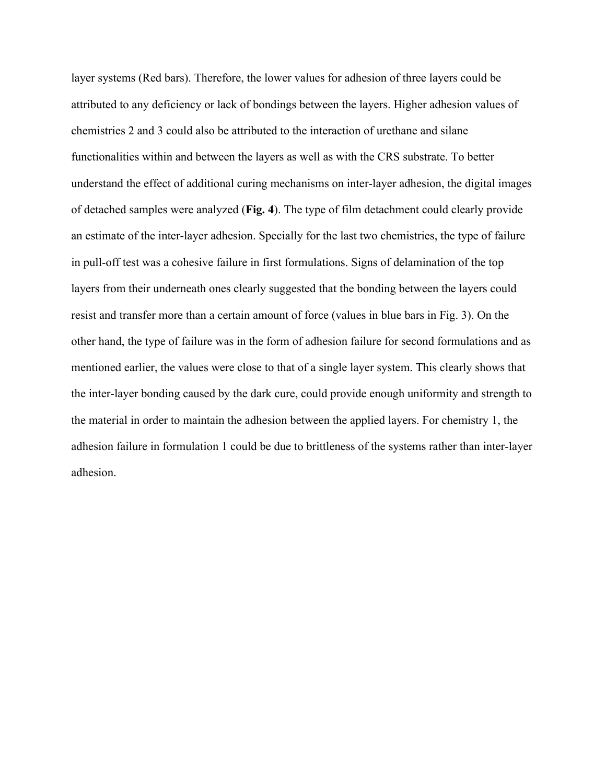layer systems (Red bars). Therefore, the lower values for adhesion of three layers could be attributed to any deficiency or lack of bondings between the layers. Higher adhesion values of chemistries 2 and 3 could also be attributed to the interaction of urethane and silane functionalities within and between the layers as well as with the CRS substrate. To better understand the effect of additional curing mechanisms on inter-layer adhesion, the digital images of detached samples were analyzed (**Fig. 4**). The type of film detachment could clearly provide an estimate of the inter-layer adhesion. Specially for the last two chemistries, the type of failure in pull-off test was a cohesive failure in first formulations. Signs of delamination of the top layers from their underneath ones clearly suggested that the bonding between the layers could resist and transfer more than a certain amount of force (values in blue bars in Fig. 3). On the other hand, the type of failure was in the form of adhesion failure for second formulations and as mentioned earlier, the values were close to that of a single layer system. This clearly shows that the inter-layer bonding caused by the dark cure, could provide enough uniformity and strength to the material in order to maintain the adhesion between the applied layers. For chemistry 1, the adhesion failure in formulation 1 could be due to brittleness of the systems rather than inter-layer adhesion.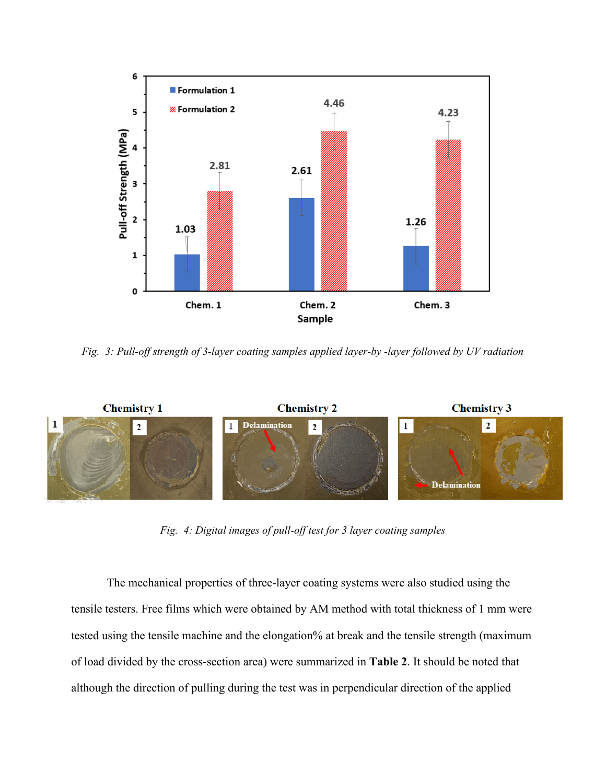

*Fig. 3: Pull-off strength of 3-layer coating samples applied layer-by -layer followed by UV radiation*



*Fig. 4: Digital images of pull-off test for 3 layer coating samples*

The mechanical properties of three-layer coating systems were also studied using the tensile testers. Free films which were obtained by AM method with total thickness of 1 mm were tested using the tensile machine and the elongation% at break and the tensile strength (maximum of load divided by the cross-section area) were summarized in **Table 2**. It should be noted that although the direction of pulling during the test was in perpendicular direction of the applied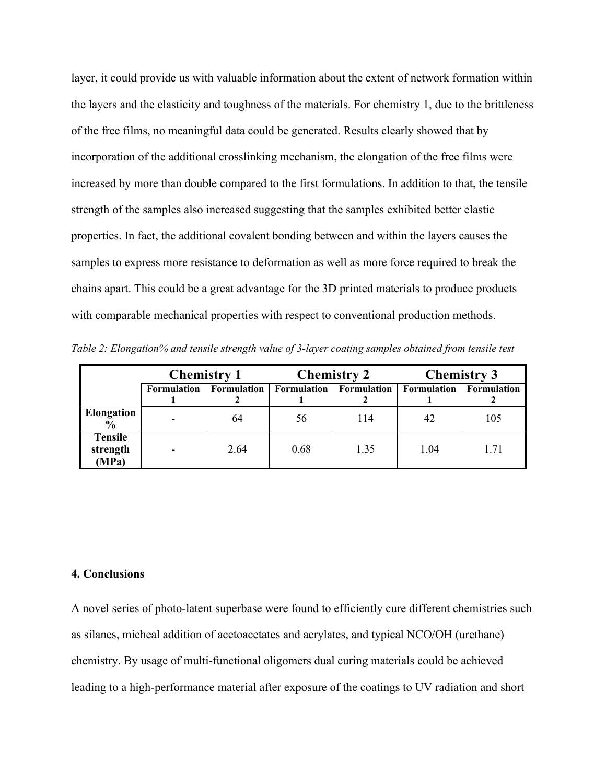layer, it could provide us with valuable information about the extent of network formation within the layers and the elasticity and toughness of the materials. For chemistry 1, due to the brittleness of the free films, no meaningful data could be generated. Results clearly showed that by incorporation of the additional crosslinking mechanism, the elongation of the free films were increased by more than double compared to the first formulations. In addition to that, the tensile strength of the samples also increased suggesting that the samples exhibited better elastic properties. In fact, the additional covalent bonding between and within the layers causes the samples to express more resistance to deformation as well as more force required to break the chains apart. This could be a great advantage for the 3D printed materials to produce products with comparable mechanical properties with respect to conventional production methods.

*Table 2: Elongation% and tensile strength value of 3-layer coating samples obtained from tensile test*

|                                     | <b>Chemistry 1</b>       |                    | <b>Chemistry 2</b> |                    | <b>Chemistry 3</b>      |      |
|-------------------------------------|--------------------------|--------------------|--------------------|--------------------|-------------------------|------|
|                                     | Formulation              | <b>Formulation</b> | Formulation        | <b>Formulation</b> | Formulation Formulation |      |
| Elongation<br>$\frac{6}{9}$         |                          | 64                 | 56                 | 114                | 42                      | 105  |
| <b>Tensile</b><br>strength<br>(MPa) | $\overline{\phantom{0}}$ | 2.64               | 0.68               | 1.35               | 1.04                    | 1.71 |

## **4. Conclusions**

A novel series of photo-latent superbase were found to efficiently cure different chemistries such as silanes, micheal addition of acetoacetates and acrylates, and typical NCO/OH (urethane) chemistry. By usage of multi-functional oligomers dual curing materials could be achieved leading to a high-performance material after exposure of the coatings to UV radiation and short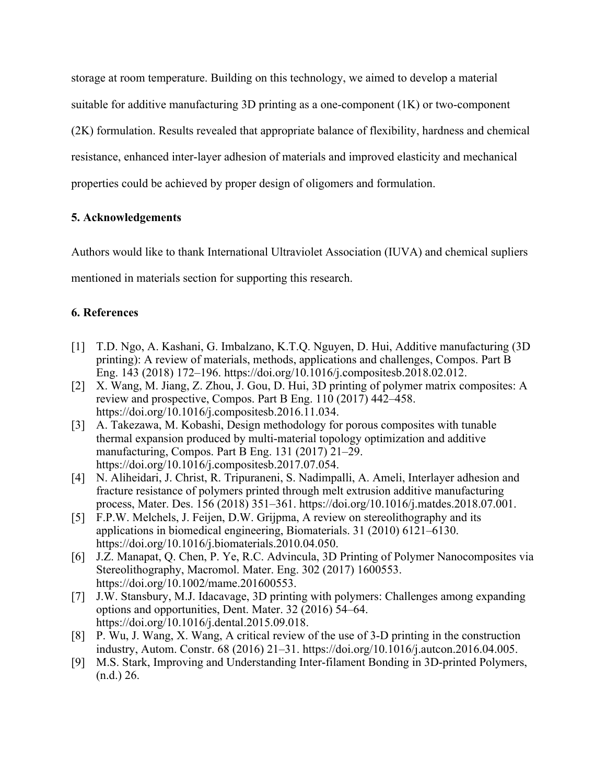storage at room temperature. Building on this technology, we aimed to develop a material suitable for additive manufacturing 3D printing as a one-component (1K) or two-component (2K) formulation. Results revealed that appropriate balance of flexibility, hardness and chemical resistance, enhanced inter-layer adhesion of materials and improved elasticity and mechanical properties could be achieved by proper design of oligomers and formulation.

# **5. Acknowledgements**

Authors would like to thank International Ultraviolet Association (IUVA) and chemical supliers

mentioned in materials section for supporting this research.

# **6. References**

- [1] T.D. Ngo, A. Kashani, G. Imbalzano, K.T.Q. Nguyen, D. Hui, Additive manufacturing (3D printing): A review of materials, methods, applications and challenges, Compos. Part B Eng. 143 (2018) 172–196. https://doi.org/10.1016/j.compositesb.2018.02.012.
- [2] X. Wang, M. Jiang, Z. Zhou, J. Gou, D. Hui, 3D printing of polymer matrix composites: A review and prospective, Compos. Part B Eng. 110 (2017) 442–458. https://doi.org/10.1016/j.compositesb.2016.11.034.
- [3] A. Takezawa, M. Kobashi, Design methodology for porous composites with tunable thermal expansion produced by multi-material topology optimization and additive manufacturing, Compos. Part B Eng. 131 (2017) 21–29. https://doi.org/10.1016/j.compositesb.2017.07.054.
- [4] N. Aliheidari, J. Christ, R. Tripuraneni, S. Nadimpalli, A. Ameli, Interlayer adhesion and fracture resistance of polymers printed through melt extrusion additive manufacturing process, Mater. Des. 156 (2018) 351–361. https://doi.org/10.1016/j.matdes.2018.07.001.
- [5] F.P.W. Melchels, J. Feijen, D.W. Grijpma, A review on stereolithography and its applications in biomedical engineering, Biomaterials. 31 (2010) 6121–6130. https://doi.org/10.1016/j.biomaterials.2010.04.050.
- [6] J.Z. Manapat, Q. Chen, P. Ye, R.C. Advincula, 3D Printing of Polymer Nanocomposites via Stereolithography, Macromol. Mater. Eng. 302 (2017) 1600553. https://doi.org/10.1002/mame.201600553.
- [7] J.W. Stansbury, M.J. Idacavage, 3D printing with polymers: Challenges among expanding options and opportunities, Dent. Mater. 32 (2016) 54–64. https://doi.org/10.1016/j.dental.2015.09.018.
- [8] P. Wu, J. Wang, X. Wang, A critical review of the use of 3-D printing in the construction industry, Autom. Constr. 68 (2016) 21–31. https://doi.org/10.1016/j.autcon.2016.04.005.
- [9] M.S. Stark, Improving and Understanding Inter-filament Bonding in 3D-printed Polymers, (n.d.) 26.